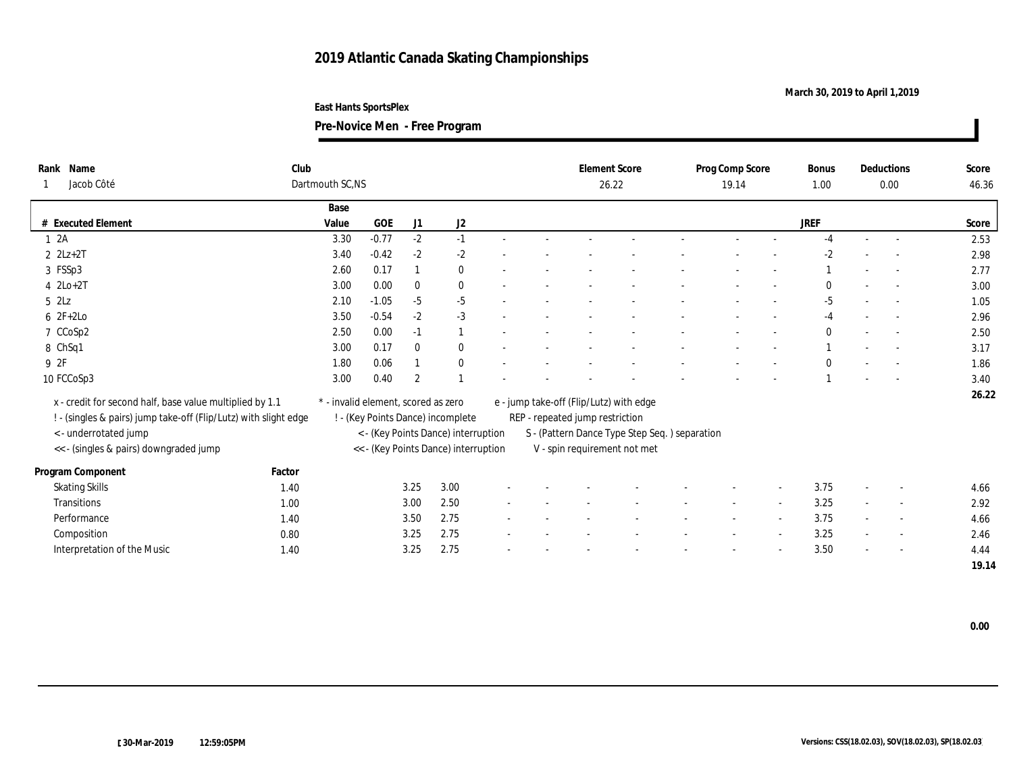## **2019 Atlantic Canada Skating Championships**

## **March 30, 2019 to April 1,2019**

**East Hants SportsPlex**

**Pre-Novice Men - Free Program**

| Rank Name<br>Jacob Côté                                          | Dartmouth SC,NS |                                                                             |         |                |                                   |  | <b>Element Score</b><br>26.22 |                                                                               | Prog Comp Score<br>19.14                |  |  | <b>Bonus</b><br>1.00     | Deductions<br>0.00 |        | Score<br>46.36           |       |
|------------------------------------------------------------------|-----------------|-----------------------------------------------------------------------------|---------|----------------|-----------------------------------|--|-------------------------------|-------------------------------------------------------------------------------|-----------------------------------------|--|--|--------------------------|--------------------|--------|--------------------------|-------|
|                                                                  |                 | Base                                                                        |         |                |                                   |  |                               |                                                                               |                                         |  |  |                          |                    |        |                          |       |
| # Executed Element                                               |                 | Value                                                                       | GOE     | J1             | J <sub>2</sub>                    |  |                               |                                                                               |                                         |  |  |                          | JREF               |        |                          | Score |
| 12A                                                              |                 | 3.30                                                                        | $-0.77$ | $-2$           | $-1$                              |  |                               |                                                                               |                                         |  |  |                          | $-4$               |        |                          | 2.53  |
| $2$ $2Lz+2T$                                                     |                 | 3.40                                                                        | $-0.42$ | $-2$           | $-2$                              |  |                               |                                                                               |                                         |  |  |                          | -2                 |        |                          | 2.98  |
| 3 FSSp3                                                          |                 | 2.60                                                                        | 0.17    |                | $\bf{0}$                          |  |                               |                                                                               |                                         |  |  |                          |                    |        |                          | 2.77  |
| $4$ $2Lo+2T$                                                     |                 | 3.00                                                                        | 0.00    | $\mathbf{0}$   | $\bf{0}$                          |  |                               |                                                                               |                                         |  |  |                          | $\theta$           |        |                          | 3.00  |
| $5$ $2\text{L}z$                                                 |                 | 2.10                                                                        | $-1.05$ | $-5$           | $-5$                              |  |                               |                                                                               |                                         |  |  |                          | $-5$               |        | $\sim$                   | 1.05  |
| $62F+2Lo$                                                        |                 | 3.50                                                                        | $-0.54$ | $-2$           | $-3$                              |  |                               |                                                                               |                                         |  |  |                          | -4                 |        |                          | 2.96  |
| 7 CCoSp2                                                         |                 | 2.50                                                                        | 0.00    | $-1$           |                                   |  |                               |                                                                               |                                         |  |  |                          | $\mathbf{0}$       |        |                          | 2.50  |
| 8 ChSq1                                                          |                 | 3.00                                                                        | 0.17    | $\theta$       | $\mathbf{0}$                      |  |                               |                                                                               |                                         |  |  |                          |                    |        |                          | 3.17  |
| 9 2F                                                             |                 | 1.80                                                                        | 0.06    |                | $\bf{0}$                          |  |                               |                                                                               |                                         |  |  |                          | $\bf{0}$           |        |                          | 1.86  |
| 10 FCCoSp3                                                       |                 | 3.00                                                                        | 0.40    | $\overline{2}$ |                                   |  |                               |                                                                               |                                         |  |  |                          |                    | $\sim$ | $\sim$                   | 3.40  |
| x - credit for second half, base value multiplied by 1.1         |                 | * - invalid element, scored as zero                                         |         |                |                                   |  |                               |                                                                               | e - jump take-off (Flip/Lutz) with edge |  |  |                          |                    |        |                          | 26.22 |
| ! - (singles & pairs) jump take-off (Flip/Lutz) with slight edge |                 |                                                                             |         |                | ! - (Key Points Dance) incomplete |  |                               | REP - repeated jump restriction                                               |                                         |  |  |                          |                    |        |                          |       |
| < - underrotated jump                                            |                 |                                                                             |         |                |                                   |  |                               |                                                                               |                                         |  |  |                          |                    |        |                          |       |
| << - (singles & pairs) downgraded jump                           |                 | < - (Key Points Dance) interruption<br><< - (Key Points Dance) interruption |         |                |                                   |  |                               | S - (Pattern Dance Type Step Seq.) separation<br>V - spin requirement not met |                                         |  |  |                          |                    |        |                          |       |
|                                                                  |                 |                                                                             |         |                |                                   |  |                               |                                                                               |                                         |  |  |                          |                    |        |                          |       |
| Program Component                                                | Factor          |                                                                             |         |                |                                   |  |                               |                                                                               |                                         |  |  |                          |                    |        |                          |       |
| <b>Skating Skills</b>                                            | 1.40            |                                                                             |         | 3.25           | 3.00                              |  |                               |                                                                               |                                         |  |  |                          | 3.75               |        | $\overline{\phantom{a}}$ | 4.66  |
| Transitions                                                      | 1.00            |                                                                             |         | 3.00           | 2.50                              |  |                               |                                                                               |                                         |  |  | $\overline{\phantom{a}}$ | 3.25               |        | $\overline{\phantom{a}}$ | 2.92  |
| Performance                                                      | 1.40            |                                                                             |         | 3.50           | 2.75                              |  |                               |                                                                               |                                         |  |  |                          | 3.75               |        | $\overline{\phantom{a}}$ | 4.66  |
| Composition                                                      | 0.80            |                                                                             |         | 3.25           | 2.75                              |  |                               |                                                                               |                                         |  |  | $\overline{\phantom{a}}$ | 3.25               |        | $\sim$                   | 2.46  |
| Interpretation of the Music                                      | 1.40            |                                                                             |         | 3.25           | 2.75                              |  |                               |                                                                               |                                         |  |  |                          | 3.50               |        |                          | 4.44  |
|                                                                  |                 |                                                                             |         |                |                                   |  |                               |                                                                               |                                         |  |  |                          |                    |        |                          | 19.14 |